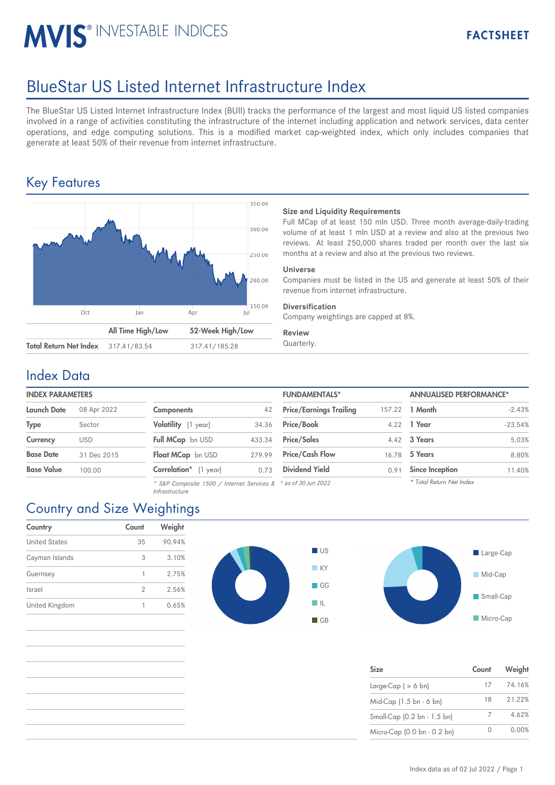# **MVIS® INVESTABLE INDICES**

# BlueStar US Listed Internet Infrastructure Index

The BlueStar US Listed Internet Infrastructure Index (BUII) tracks the performance of the largest and most liquid US listed companies involved in a range of activities constituting the infrastructure of the internet including application and network services, data center operations, and edge computing solutions. This is a modified market cap-weighted index, which only includes companies that generate at least 50% of their revenue from internet infrastructure.

## Key Features



## **Size and Liquidity Requirements**

Full MCap of at least 150 mln USD. Three month average-daily-trading volume of at least 1 mln USD at a review and also at the previous two reviews. At least 250,000 shares traded per month over the last six months at a review and also at the previous two reviews.

## **Universe**

Companies must be listed in the US and generate at least 50% of their revenue from internet infrastructure.

## **Diversification**

Company weightings are capped at 8%.

### **Review**

## Index Data

## **INDEX PARAMETERS**

| <b>Launch Date</b> | 08 Apr 2022 |  |  |
|--------------------|-------------|--|--|
| <b>Type</b>        | Sector      |  |  |
| Currency           | USD         |  |  |
| <b>Base Date</b>   | 31 Dec 2015 |  |  |
| <b>Base Value</b>  | 100.00      |  |  |

| <b>Components</b>       | 42     |
|-------------------------|--------|
| Volatility (1 year)     | 34.36  |
| <b>Full MCap</b> bn USD | 433.34 |
| Float MCap bn USD       | 279.99 |
| Correlation* (1 year)   | 0.73   |
|                         |        |

*\* S&P Composite 1500 / Internet Services & Infrastructure*

| <b>INDEX PARAMETERS</b> |             |                                                                      |        | <b>FUNDAMENTALS*</b>           |        | <b>ANNUALISED PERFORMANCE*</b> |           |
|-------------------------|-------------|----------------------------------------------------------------------|--------|--------------------------------|--------|--------------------------------|-----------|
| Launch Date             | 08 Apr 2022 | Components                                                           | 42     | <b>Price/Earnings Trailing</b> | 157.22 | 1 Month                        | $-2.43%$  |
| Type                    | Sector      | Volatility (1 year)                                                  | 34.36  | <b>Price/Book</b>              | 4.22   | 1 Year                         | $-23.54%$ |
| Currency                | <b>USD</b>  | Full MCap bn USD                                                     | 433.34 | <b>Price/Sales</b>             |        | 4.42 3 Years                   | 5.03%     |
| <b>Base Date</b>        | 31 Dec 2015 | Float MCap bn USD                                                    | 279.99 | <b>Price/Cash Flow</b>         | 16.78  | 5 Years                        | 8.80%     |
| Base Value              | 100.00      | <b>Correlation</b> * (1 year)                                        | 0.73   | <b>Dividend Yield</b>          | 0.91   | <b>Since Inception</b>         | 11.40%    |
|                         |             | $*$ SRD Composite 1500 / Internet Services $R$ $*$ as of 30 lup 2022 |        |                                |        | * Total Return Net Index       |           |

*\* as of 30 Jun 2022*



| <b>Size</b>                 | Count | Weight |
|-----------------------------|-------|--------|
| Large-Cap ( $> 6$ bn)       | 17    | 74.16% |
| Mid-Cap (1.5 bn - 6 bn)     | 18    | 21.22% |
| Small-Cap (0.2 bn - 1.5 bn) |       | 4.62%  |
| Micro-Cap (0.0 bn - 0.2 bn) |       | 0.00%  |

## Country and Size Weightings

| Country              | Count | Weight |
|----------------------|-------|--------|
| <b>United States</b> | 35    | 90.94% |
| Cayman Islands       | 3     | 3.10%  |
| Guernsey             |       | 2.75%  |
| Israel               | 2     | 2.56%  |
| United Kingdom       | 1     | 0.65%  |